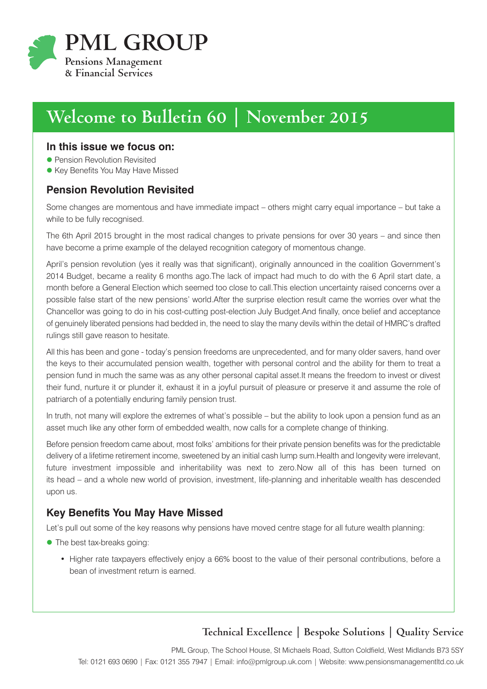

# **Welcome to Bulletin 60 | November 2015**

#### **In this issue we focus on:**

- **Pension Revolution Revisited**
- **Key Benefits You May Have Missed**

### **Pension Revolution Revisited**

Some changes are momentous and have immediate impact – others might carry equal importance – but take a while to be fully recognised.

The 6th April 2015 brought in the most radical changes to private pensions for over 30 years – and since then have become a prime example of the delayed recognition category of momentous change.

April's pension revolution (yes it really was that significant), originally announced in the coalition Government's 2014 Budget, became a reality 6 months ago.The lack of impact had much to do with the 6 April start date, a month before a General Election which seemed too close to call.This election uncertainty raised concerns over a possible false start of the new pensions' world.After the surprise election result came the worries over what the Chancellor was going to do in his cost-cutting post-election July Budget.And finally, once belief and acceptance of genuinely liberated pensions had bedded in, the need to slay the many devils within the detail of HMRC's drafted rulings still gave reason to hesitate.

All this has been and gone - today's pension freedoms are unprecedented, and for many older savers, hand over the keys to their accumulated pension wealth, together with personal control and the ability for them to treat a pension fund in much the same was as any other personal capital asset.It means the freedom to invest or divest their fund, nurture it or plunder it, exhaust it in a joyful pursuit of pleasure or preserve it and assume the role of patriarch of a potentially enduring family pension trust.

In truth, not many will explore the extremes of what's possible – but the ability to look upon a pension fund as an asset much like any other form of embedded wealth, now calls for a complete change of thinking.

Before pension freedom came about, most folks' ambitions for their private pension benefits was for the predictable delivery of a lifetime retirement income, sweetened by an initial cash lump sum.Health and longevity were irrelevant, future investment impossible and inheritability was next to zero.Now all of this has been turned on its head – and a whole new world of provision, investment, life-planning and inheritable wealth has descended upon us.

## **Key Benefits You May Have Missed**

Let's pull out some of the key reasons why pensions have moved centre stage for all future wealth planning:

- The best tax-breaks going:
	- Higher rate taxpayers effectively enjoy a 66% boost to the value of their personal contributions, before a bean of investment return is earned.

## **Technical Excellence | Bespoke Solutions | Quality Service**

PML Group, The School House, St Michaels Road, Sutton Coldfield, West Midlands B73 5SY Tel: 0121 693 0690 | Fax: 0121 355 7947 | Email: info@pmlgroup.uk.com | Website: www.pensionsmanagementltd.co.uk